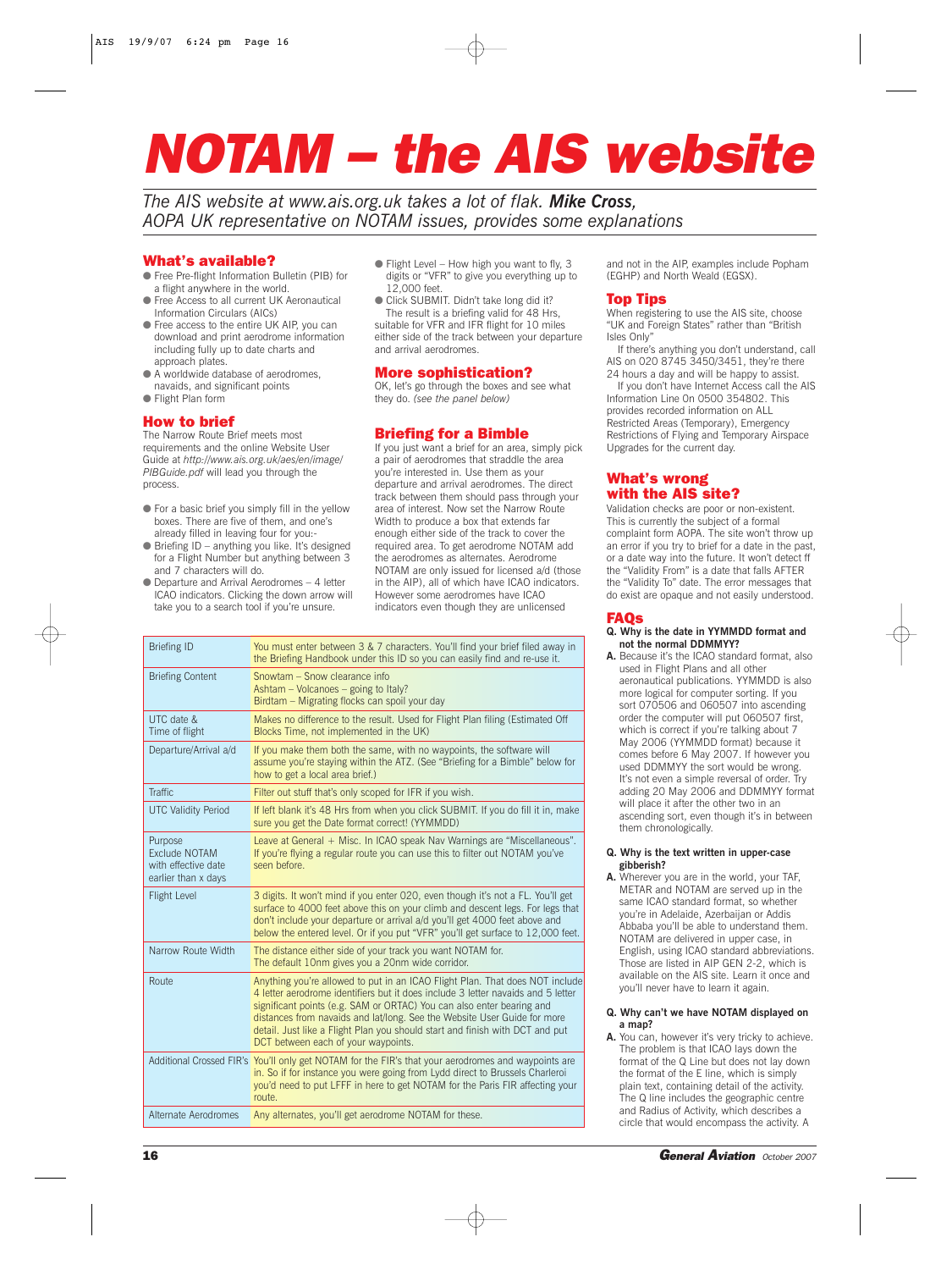# *NOTAM – the AIS website*

*The AIS website at www.ais.org.uk takes a lot of flak. Mike Cross, AOPA UK representative on NOTAM issues, provides some explanations*

# What's available?

- Free Pre-flight Information Bulletin (PIB) for a flight anywhere in the world.
- Free Access to all current UK Aeronautical Information Circulars (AICs)
- Free access to the entire UK AIP, you can download and print aerodrome information including fully up to date charts and approach plates
- A worldwide database of aerodromes, navaids, and significant points
- Flight Plan form

# How to brief

The Narrow Route Brief meets most requirements and the online Website User Guide at *http://www.ais.org.uk/aes/en/image/ PIBGuide.pdf* will lead you through the process.

- $\bullet$  For a basic brief you simply fill in the yellow boxes. There are five of them, and one's already filled in leaving four for you:-
- $\bullet$  Briefing ID anything you like. It's designed for a Flight Number but anything between 3 and 7 characters will do.
- Departure and Arrival Aerodromes 4 letter ICAO indicators. Clicking the down arrow will take you to a search tool if you're unsure.
- $\bullet$  Flight Level How high you want to fly, 3 digits or "VFR" to give you everything up to 12,000 feet.
- Click SUBMIT. Didn't take long did it? The result is a briefing valid for 48 Hrs, suitable for VFR and IFR flight for 10 miles either side of the track between your departure and arrival aerodromes.

# More sophistication?

OK, let's go through the boxes and see what they do. *(see the panel below)*

# Briefing for a Bimble

If you just want a brief for an area, simply pick a pair of aerodromes that straddle the area you're interested in. Use them as your departure and arrival aerodromes. The direct track between them should pass through your area of interest. Now set the Narrow Route Width to produce a box that extends far enough either side of the track to cover the required area. To get aerodrome NOTAM add the aerodromes as alternates. Aerodrome NOTAM are only issued for licensed a/d (those in the AIP), all of which have ICAO indicators. However some aerodromes have ICAO indicators even though they are unlicensed

| <b>Briefing ID</b>                                                            | You must enter between 3 & 7 characters. You'll find your brief filed away in<br>the Briefing Handbook under this ID so you can easily find and re-use it.                                                                                                                                                                                                                                                                                   |
|-------------------------------------------------------------------------------|----------------------------------------------------------------------------------------------------------------------------------------------------------------------------------------------------------------------------------------------------------------------------------------------------------------------------------------------------------------------------------------------------------------------------------------------|
| <b>Briefing Content</b>                                                       | Snowtam – Snow clearance info<br>Ashtam – Volcanoes – going to Italy?<br>Birdtam - Migrating flocks can spoil your day                                                                                                                                                                                                                                                                                                                       |
| UTC date &<br>Time of flight                                                  | Makes no difference to the result. Used for Flight Plan filing (Estimated Off<br>Blocks Time, not implemented in the UK)                                                                                                                                                                                                                                                                                                                     |
| Departure/Arrival a/d                                                         | If you make them both the same, with no waypoints, the software will<br>assume you're staying within the ATZ. (See "Briefing for a Bimble" below for<br>how to get a local area brief.)                                                                                                                                                                                                                                                      |
| <b>Traffic</b>                                                                | Filter out stuff that's only scoped for IFR if you wish.                                                                                                                                                                                                                                                                                                                                                                                     |
| <b>UTC Validity Period</b>                                                    | If left blank it's 48 Hrs from when you click SUBMIT. If you do fill it in, make<br>sure you get the Date format correct! (YYMMDD)                                                                                                                                                                                                                                                                                                           |
| Purpose<br><b>Exclude NOTAM</b><br>with effective date<br>earlier than x days | Leave at General + Misc. In ICAO speak Nav Warnings are "Miscellaneous".<br>If you're flying a regular route you can use this to filter out NOTAM you've<br>seen before.                                                                                                                                                                                                                                                                     |
| <b>Flight Level</b>                                                           | 3 digits. It won't mind if you enter 020, even though it's not a FL. You'll get<br>surface to 4000 feet above this on your climb and descent legs. For legs that<br>don't include your departure or arrival a/d you'll get 4000 feet above and<br>below the entered level. Or if you put "VFR" you'll get surface to 12,000 feet.                                                                                                            |
| Narrow Route Width                                                            | The distance either side of your track you want NOTAM for.<br>The default 10nm gives you a 20nm wide corridor.                                                                                                                                                                                                                                                                                                                               |
| Route                                                                         | Anything you're allowed to put in an ICAO Flight Plan. That does NOT include<br>4 letter aerodrome identifiers but it does include 3 letter navaids and 5 letter<br>significant points (e.g. SAM or ORTAC) You can also enter bearing and<br>distances from navaids and lat/long. See the Website User Guide for more<br>detail. Just like a Flight Plan you should start and finish with DCT and put<br>DCT between each of your waypoints. |
|                                                                               | Additional Crossed FIR's You'll only get NOTAM for the FIR's that your aerodromes and waypoints are<br>in. So if for instance you were going from Lydd direct to Brussels Charleroi<br>you'd need to put LFFF in here to get NOTAM for the Paris FIR affecting your<br>route.                                                                                                                                                                |
| Alternate Aerodromes                                                          | Any alternates, you'll get aerodrome NOTAM for these.                                                                                                                                                                                                                                                                                                                                                                                        |
|                                                                               |                                                                                                                                                                                                                                                                                                                                                                                                                                              |

and not in the AIP, examples include Popham (EGHP) and North Weald (EGSX).

### Top Tips

When registering to use the AIS site, choose "UK and Foreign States" rather than "British Isles Only"

If there's anything you don't understand, call AIS on 020 8745 3450/3451, they're there

24 hours a day and will be happy to assist. If you don't have Internet Access call the AIS Information Line 0n 0500 354802. This provides recorded information on ALL Restricted Areas (Temporary), Emergency Restrictions of Flying and Temporary Airspace Upgrades for the current day.

# What's wrong with the AIS site?

Validation checks are poor or non-existent. This is currently the subject of a formal complaint form AOPA. The site won't throw up an error if you try to brief for a date in the past, or a date way into the future. It won't detect ff the "Validity From" is a date that falls AFTER the "Validity To" date. The error messages that do exist are opaque and not easily understood.

# FAQs

#### **Q. Why is the date in YYMMDD format and not the normal DDMMYY?**

**A.** Because it's the ICAO standard format, also used in Flight Plans and all other

aeronautical publications. YYMMDD is also more logical for computer sorting. If you sort 070506 and 060507 into ascending order the computer will put 060507 first, which is correct if you're talking about 7 May 2006 (YYMMDD format) because it comes before 6 May 2007. If however you used DDMMYY the sort would be wrong. It's not even a simple reversal of order. Try adding 20 May 2006 and DDMMYY format will place it after the other two in an ascending sort, even though it's in between them chronologically.

#### **Q. Why is the text written in upper-case gibberish?**

**A.** Wherever you are in the world, your TAF, METAR and NOTAM are served up in the same ICAO standard format, so whether you're in Adelaide, Azerbaijan or Addis Abbaba you'll be able to understand them. NOTAM are delivered in upper case, in English, using ICAO standard abbreviations. Those are listed in AIP GEN 2-2, which is available on the AIS site. Learn it once and you'll never have to learn it again.

#### **Q. Why can't we have NOTAM displayed on a map?**

**A.** You can, however it's very tricky to achieve. The problem is that ICAO lays down the format of the Q Line but does not lay down the format of the E line, which is simply plain text, containing detail of the activity. The Q line includes the geographic centre and Radius of Activity, which describes a circle that would encompass the activity. A